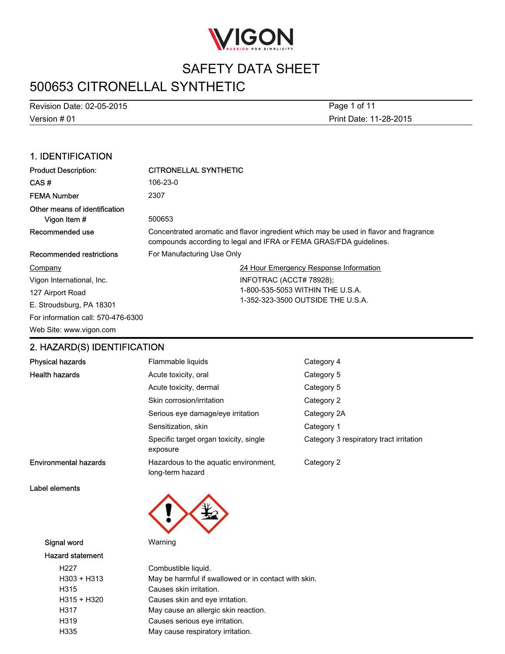

# 500653 CITRONELLAL SYNTHETIC

Version # 01 Revision Date: 02-05-2015 Print Date: 11-28-2015 Page 1 of 11

### 1. IDENTIFICATION

| <b>Product Description:</b>                  | <b>CITRONELLAL SYNTHETIC</b>                                                                                                                                |  |
|----------------------------------------------|-------------------------------------------------------------------------------------------------------------------------------------------------------------|--|
| CAS#                                         | 106-23-0                                                                                                                                                    |  |
| <b>FEMA Number</b>                           | 2307                                                                                                                                                        |  |
| Other means of identification<br>Vigon Item# | 500653                                                                                                                                                      |  |
| Recommended use                              | Concentrated aromatic and flavor ingredient which may be used in flavor and fragrance<br>compounds according to legal and IFRA or FEMA GRAS/FDA guidelines. |  |
| Recommended restrictions                     | For Manufacturing Use Only                                                                                                                                  |  |
| Company                                      | 24 Hour Emergency Response Information                                                                                                                      |  |
| Vigon International, Inc.                    | INFOTRAC (ACCT# 78928);                                                                                                                                     |  |
| 127 Airport Road                             | 1-800-535-5053 WITHIN THE U.S.A.                                                                                                                            |  |
| E. Stroudsburg, PA 18301                     | 1-352-323-3500 OUTSIDE THE U.S.A.                                                                                                                           |  |
| For information call: 570-476-6300           |                                                                                                                                                             |  |
| Web Site: www.vigon.com                      |                                                                                                                                                             |  |

### 2. HAZARD(S) IDENTIFICATION

| <b>Physical hazards</b>      | Flammable liquids                                         | Category 4                              |
|------------------------------|-----------------------------------------------------------|-----------------------------------------|
| <b>Health hazards</b>        | Acute toxicity, oral                                      | Category 5                              |
|                              | Acute toxicity, dermal                                    | Category 5                              |
|                              | Skin corrosion/irritation                                 | Category 2                              |
|                              | Serious eye damage/eye irritation                         | Category 2A                             |
|                              | Sensitization, skin                                       | Category 1                              |
|                              | Specific target organ toxicity, single<br>exposure        | Category 3 respiratory tract irritation |
| <b>Environmental hazards</b> | Hazardous to the aquatic environment,<br>long-term hazard | Category 2                              |

Label elements



#### Signal word Warning

#### Hazard statement

| H <sub>22</sub> 7 | Combustible liquid.                                  |
|-------------------|------------------------------------------------------|
| H303 + H313       | May be harmful if swallowed or in contact with skin. |
| H315              | Causes skin irritation.                              |
| H315 + H320       | Causes skin and eye irritation.                      |
| H317              | May cause an allergic skin reaction.                 |
| H319              | Causes serious eye irritation.                       |
| H335              | May cause respiratory irritation.                    |
|                   |                                                      |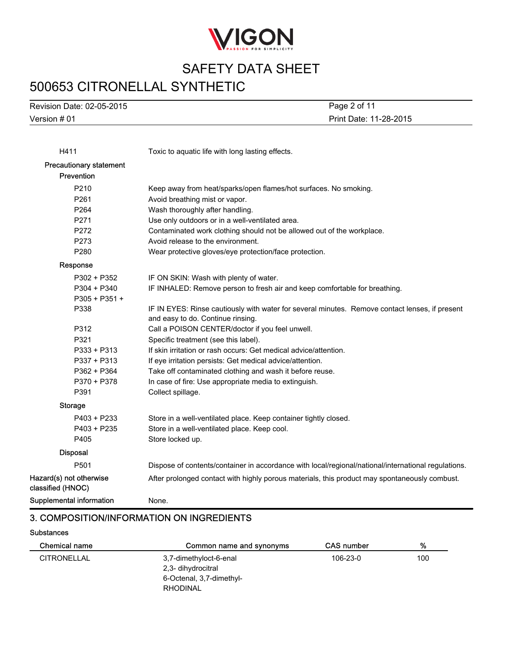

# 500653 CITRONELLAL SYNTHETIC

Version # 01 Revision Date: 02-05-2015 Print Date: 11-28-2015 Page 2 of 11

| H411                                         | Toxic to aquatic life with long lasting effects.                                                    |
|----------------------------------------------|-----------------------------------------------------------------------------------------------------|
| Precautionary statement                      |                                                                                                     |
| Prevention                                   |                                                                                                     |
| P210                                         | Keep away from heat/sparks/open flames/hot surfaces. No smoking.                                    |
| P261                                         | Avoid breathing mist or vapor.                                                                      |
| P264                                         | Wash thoroughly after handling.                                                                     |
| P271                                         | Use only outdoors or in a well-ventilated area.                                                     |
| P272                                         | Contaminated work clothing should not be allowed out of the workplace.                              |
| P273                                         | Avoid release to the environment.                                                                   |
| P280                                         | Wear protective gloves/eye protection/face protection.                                              |
| Response                                     |                                                                                                     |
| P302 + P352                                  | IF ON SKIN: Wash with plenty of water.                                                              |
| $P304 + P340$                                | IF INHALED: Remove person to fresh air and keep comfortable for breathing.                          |
| $P305 + P351 +$                              |                                                                                                     |
| P338                                         | IF IN EYES: Rinse cautiously with water for several minutes. Remove contact lenses, if present      |
|                                              | and easy to do. Continue rinsing.                                                                   |
| P312                                         | Call a POISON CENTER/doctor if you feel unwell.                                                     |
| P321                                         | Specific treatment (see this label).                                                                |
| P333 + P313                                  | If skin irritation or rash occurs: Get medical advice/attention.                                    |
| P337 + P313                                  | If eye irritation persists: Get medical advice/attention.                                           |
| P362 + P364                                  | Take off contaminated clothing and wash it before reuse.                                            |
| P370 + P378                                  | In case of fire: Use appropriate media to extinguish.                                               |
| P391                                         | Collect spillage.                                                                                   |
| <b>Storage</b>                               |                                                                                                     |
| $P403 + P233$                                | Store in a well-ventilated place. Keep container tightly closed.                                    |
| $P403 + P235$                                | Store in a well-ventilated place. Keep cool.                                                        |
| P405                                         | Store locked up.                                                                                    |
| <b>Disposal</b>                              |                                                                                                     |
| P501                                         | Dispose of contents/container in accordance with local/regional/national/international regulations. |
| Hazard(s) not otherwise<br>classified (HNOC) | After prolonged contact with highly porous materials, this product may spontaneously combust.       |
| <b>Supplemental information</b>              | None.                                                                                               |
|                                              |                                                                                                     |

### 3. COMPOSITION/INFORMATION ON INGREDIENTS

#### **Substances**

| Chemical name      | Common name and synonyms | <b>CAS</b> number | %   |
|--------------------|--------------------------|-------------------|-----|
| <b>CITRONELLAL</b> | 3,7-dimethyloct-6-enal   | 106-23-0          | 100 |
|                    | 2,3- dihydrocitral       |                   |     |
|                    | 6-Octenal, 3,7-dimethyl- |                   |     |
|                    | RHODINAL                 |                   |     |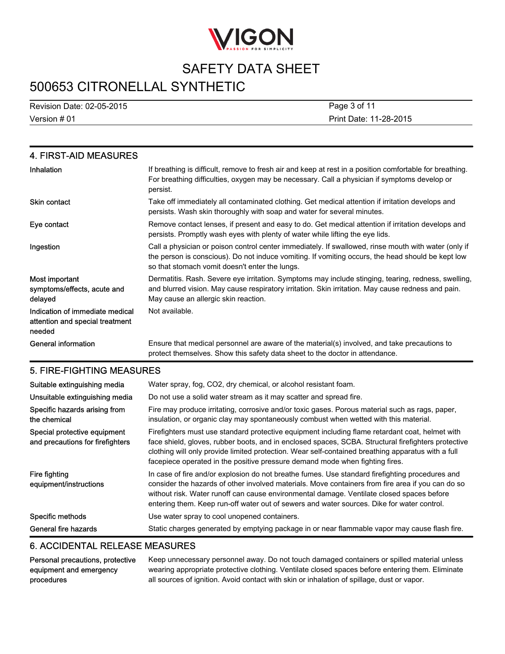

# 500653 CITRONELLAL SYNTHETIC

Version # 01 Revision Date: 02-05-2015 Print Date: 11-28-2015 Page 3 of 11

| 4. FIRST-AID MEASURES                                                        |                                                                                                                                                                                                                                                             |
|------------------------------------------------------------------------------|-------------------------------------------------------------------------------------------------------------------------------------------------------------------------------------------------------------------------------------------------------------|
| Inhalation                                                                   | If breathing is difficult, remove to fresh air and keep at rest in a position comfortable for breathing.<br>For breathing difficulties, oxygen may be necessary. Call a physician if symptoms develop or<br>persist.                                        |
| <b>Skin contact</b>                                                          | Take off immediately all contaminated clothing. Get medical attention if irritation develops and<br>persists. Wash skin thoroughly with soap and water for several minutes.                                                                                 |
| Eye contact                                                                  | Remove contact lenses, if present and easy to do. Get medical attention if irritation develops and<br>persists. Promptly wash eyes with plenty of water while lifting the eye lids.                                                                         |
| Ingestion                                                                    | Call a physician or poison control center immediately. If swallowed, rinse mouth with water (only if<br>the person is conscious). Do not induce vomiting. If vomiting occurs, the head should be kept low<br>so that stomach vomit doesn't enter the lungs. |
| Most important<br>symptoms/effects, acute and<br>delayed                     | Dermatitis. Rash. Severe eye irritation. Symptoms may include stinging, tearing, redness, swelling,<br>and blurred vision. May cause respiratory irritation. Skin irritation. May cause redness and pain.<br>May cause an allergic skin reaction.           |
| Indication of immediate medical<br>attention and special treatment<br>needed | Not available.                                                                                                                                                                                                                                              |
| <b>General information</b>                                                   | Ensure that medical personnel are aware of the material(s) involved, and take precautions to<br>protect themselves. Show this safety data sheet to the doctor in attendance.                                                                                |

### 5. FIRE-FIGHTING MEASURES

| Suitable extinguishing media<br>Unsuitable extinguishing media   | Water spray, fog, CO2, dry chemical, or alcohol resistant foam.<br>Do not use a solid water stream as it may scatter and spread fire.                                                                                                                                                                                                                                                           |
|------------------------------------------------------------------|-------------------------------------------------------------------------------------------------------------------------------------------------------------------------------------------------------------------------------------------------------------------------------------------------------------------------------------------------------------------------------------------------|
| Specific hazards arising from<br>the chemical                    | Fire may produce irritating, corrosive and/or toxic gases. Porous material such as rags, paper,<br>insulation, or organic clay may spontaneously combust when wetted with this material.                                                                                                                                                                                                        |
| Special protective equipment<br>and precautions for firefighters | Firefighters must use standard protective equipment including flame retardant coat, helmet with<br>face shield, gloves, rubber boots, and in enclosed spaces, SCBA. Structural firefighters protective<br>clothing will only provide limited protection. Wear self-contained breathing apparatus with a full<br>facepiece operated in the positive pressure demand mode when fighting fires.    |
| Fire fighting<br>equipment/instructions                          | In case of fire and/or explosion do not breathe fumes. Use standard firefighting procedures and<br>consider the hazards of other involved materials. Move containers from fire area if you can do so<br>without risk. Water runoff can cause environmental damage. Ventilate closed spaces before<br>entering them. Keep run-off water out of sewers and water sources. Dike for water control. |
| Specific methods                                                 | Use water spray to cool unopened containers.                                                                                                                                                                                                                                                                                                                                                    |
| General fire hazards                                             | Static charges generated by emptying package in or near flammable vapor may cause flash fire.                                                                                                                                                                                                                                                                                                   |

### 6. ACCIDENTAL RELEASE MEASURES

| Personal precautions, protective | Keep unnecessary personnel away. Do not touch damaged containers or spilled material unless      |
|----------------------------------|--------------------------------------------------------------------------------------------------|
| equipment and emergency          | wearing appropriate protective clothing. Ventilate closed spaces before entering them. Eliminate |
| procedures                       | all sources of ignition. Avoid contact with skin or inhalation of spillage, dust or vapor.       |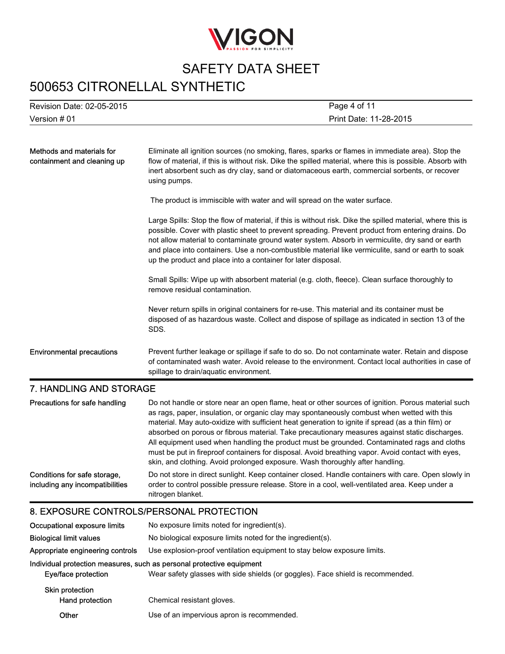

## 500653 CITRONELLAL SYNTHETIC

| <b>Revision Date: 02-05-2015</b> | Page 4 of 11           |
|----------------------------------|------------------------|
| Version # 01                     | Print Date: 11-28-2015 |

| Methods and materials for<br>containment and cleaning up | Eliminate all ignition sources (no smoking, flares, sparks or flames in immediate area). Stop the<br>flow of material, if this is without risk. Dike the spilled material, where this is possible. Absorb with<br>inert absorbent such as dry clay, sand or diatomaceous earth, commercial sorbents, or recover<br>using pumps.                                                                                                                                                          |
|----------------------------------------------------------|------------------------------------------------------------------------------------------------------------------------------------------------------------------------------------------------------------------------------------------------------------------------------------------------------------------------------------------------------------------------------------------------------------------------------------------------------------------------------------------|
|                                                          | The product is immiscible with water and will spread on the water surface.                                                                                                                                                                                                                                                                                                                                                                                                               |
|                                                          | Large Spills: Stop the flow of material, if this is without risk. Dike the spilled material, where this is<br>possible. Cover with plastic sheet to prevent spreading. Prevent product from entering drains. Do<br>not allow material to contaminate ground water system. Absorb in vermiculite, dry sand or earth<br>and place into containers. Use a non-combustible material like vermiculite, sand or earth to soak<br>up the product and place into a container for later disposal. |
|                                                          | Small Spills: Wipe up with absorbent material (e.g. cloth, fleece). Clean surface thoroughly to<br>remove residual contamination.                                                                                                                                                                                                                                                                                                                                                        |
|                                                          | Never return spills in original containers for re-use. This material and its container must be<br>disposed of as hazardous waste. Collect and dispose of spillage as indicated in section 13 of the<br>SDS.                                                                                                                                                                                                                                                                              |
| <b>Environmental precautions</b>                         | Prevent further leakage or spillage if safe to do so. Do not contaminate water. Retain and dispose<br>of contaminated wash water. Avoid release to the environment. Contact local authorities in case of<br>spillage to drain/aquatic environment.                                                                                                                                                                                                                                       |
| 7. HANDLING AND STORAGE                                  |                                                                                                                                                                                                                                                                                                                                                                                                                                                                                          |

#### Precautions for safe handling Do not handle or store near an open flame, heat or other sources of ignition. Porous material such as rags, paper, insulation, or organic clay may spontaneously combust when wetted with this material. May auto-oxidize with sufficient heat generation to ignite if spread (as a thin film) or absorbed on porous or fibrous material. Take precautionary measures against static discharges. All equipment used when handling the product must be grounded. Contaminated rags and cloths must be put in fireproof containers for disposal. Avoid breathing vapor. Avoid contact with eyes, skin, and clothing. Avoid prolonged exposure. Wash thoroughly after handling. Conditions for safe storage, including any incompatibilities Do not store in direct sunlight. Keep container closed. Handle containers with care. Open slowly in order to control possible pressure release. Store in a cool, well-ventilated area. Keep under a nitrogen blanket.

### 8. EXPOSURE CONTROLS/PERSONAL PROTECTION

| Occupational exposure limits              | No exposure limits noted for ingredient(s).                                                                                                              |
|-------------------------------------------|----------------------------------------------------------------------------------------------------------------------------------------------------------|
| <b>Biological limit values</b>            | No biological exposure limits noted for the ingredient(s).                                                                                               |
| Appropriate engineering controls          | Use explosion-proof ventilation equipment to stay below exposure limits.                                                                                 |
| Eye/face protection                       | Individual protection measures, such as personal protective equipment<br>Wear safety glasses with side shields (or goggles). Face shield is recommended. |
| <b>Skin protection</b><br>Hand protection | Chemical resistant gloves.                                                                                                                               |
| Other                                     | Use of an impervious apron is recommended.                                                                                                               |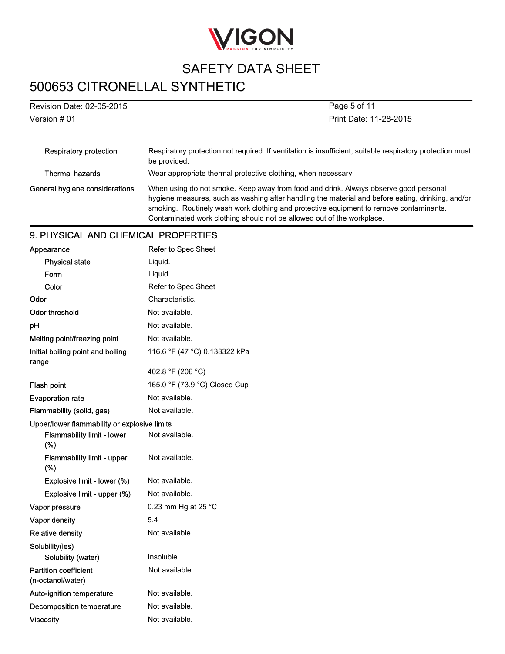

# 500653 CITRONELLAL SYNTHETIC

| Revision Date: 02-05-2015      | Page 5 of 11                                                                                                                                                                                                                                                                                                                                                  |  |
|--------------------------------|---------------------------------------------------------------------------------------------------------------------------------------------------------------------------------------------------------------------------------------------------------------------------------------------------------------------------------------------------------------|--|
| Version # 01                   | Print Date: 11-28-2015                                                                                                                                                                                                                                                                                                                                        |  |
|                                |                                                                                                                                                                                                                                                                                                                                                               |  |
| Respiratory protection         | Respiratory protection not required. If ventilation is insufficient, suitable respiratory protection must<br>be provided.                                                                                                                                                                                                                                     |  |
| Thermal hazards                | Wear appropriate thermal protective clothing, when necessary.                                                                                                                                                                                                                                                                                                 |  |
| General hygiene considerations | When using do not smoke. Keep away from food and drink. Always observe good personal<br>hygiene measures, such as washing after handling the material and before eating, drinking, and/or<br>smoking. Routinely wash work clothing and protective equipment to remove contaminants.<br>Contaminated work clothing should not be allowed out of the workplace. |  |

### 9. PHYSICAL AND CHEMICAL PROPERTIES

| Appearance                                        | Refer to Spec Sheet           |
|---------------------------------------------------|-------------------------------|
| <b>Physical state</b>                             | Liquid.                       |
| Form                                              | Liquid.                       |
| Color                                             | Refer to Spec Sheet           |
| Odor                                              | Characteristic.               |
| Odor threshold                                    | Not available.                |
| pH                                                | Not available.                |
| Melting point/freezing point                      | Not available.                |
| Initial boiling point and boiling<br>range        | 116.6 °F (47 °C) 0.133322 kPa |
|                                                   | 402.8 °F (206 °C)             |
| Flash point                                       | 165.0 °F (73.9 °C) Closed Cup |
| <b>Evaporation rate</b>                           | Not available.                |
| Flammability (solid, gas)                         | Not available.                |
| Upper/lower flammability or explosive limits      |                               |
| Flammability limit - lower<br>(%)                 | Not available.                |
| <b>Flammability limit - upper</b><br>(%)          | Not available.                |
| Explosive limit - lower (%)                       | Not available.                |
| Explosive limit - upper (%)                       | Not available.                |
| Vapor pressure                                    | 0.23 mm Hg at 25 $^{\circ}$ C |
| Vapor density                                     | 5.4                           |
| <b>Relative density</b>                           | Not available.                |
| Solubility(ies)                                   |                               |
| Solubility (water)                                | Insoluble                     |
| <b>Partition coefficient</b><br>(n-octanol/water) | Not available.                |
| Auto-ignition temperature                         | Not available.                |
| Decomposition temperature                         | Not available.                |
| <b>Viscosity</b>                                  | Not available.                |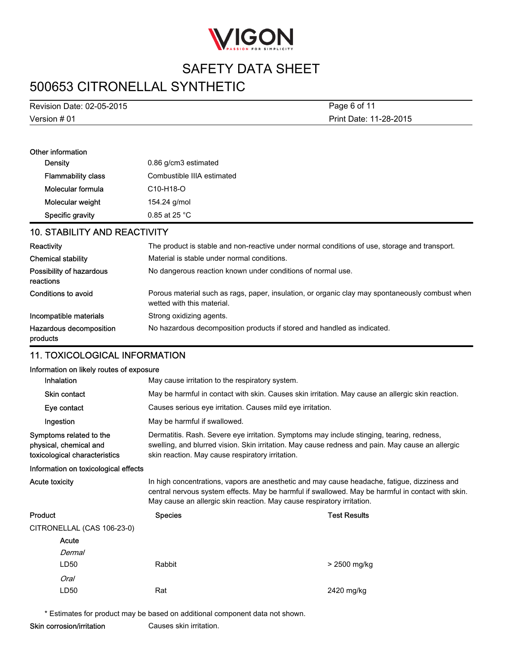

# 500653 CITRONELLAL SYNTHETIC

Version # 01 Revision Date: 02-05-2015 Print Date: 11-28-2015 Page 6 of 11

| Other information         |                                     |  |
|---------------------------|-------------------------------------|--|
| Density                   | 0.86 g/cm3 estimated                |  |
| <b>Flammability class</b> | Combustible IIIA estimated          |  |
| Molecular formula         | C <sub>10</sub> -H <sub>18</sub> -O |  |
| Molecular weight          | 154.24 g/mol                        |  |
| Specific gravity          | $0.85$ at 25 °C                     |  |

### 10. STABILITY AND REACTIVITY

| Reactivity                            | The product is stable and non-reactive under normal conditions of use, storage and transport.                                 |
|---------------------------------------|-------------------------------------------------------------------------------------------------------------------------------|
| <b>Chemical stability</b>             | Material is stable under normal conditions.                                                                                   |
| Possibility of hazardous<br>reactions | No dangerous reaction known under conditions of normal use.                                                                   |
| Conditions to avoid                   | Porous material such as rags, paper, insulation, or organic clay may spontaneously combust when<br>wetted with this material. |
| Incompatible materials                | Strong oxidizing agents.                                                                                                      |
| Hazardous decomposition<br>products   | No hazardous decomposition products if stored and handled as indicated.                                                       |

### 11. TOXICOLOGICAL INFORMATION

### Information on likely routes of exposure

| information on likely routes of exposure                                           |                                                                                                                                                                                                                                                                             |                                                                                                                                                                                                                                                   |  |  |
|------------------------------------------------------------------------------------|-----------------------------------------------------------------------------------------------------------------------------------------------------------------------------------------------------------------------------------------------------------------------------|---------------------------------------------------------------------------------------------------------------------------------------------------------------------------------------------------------------------------------------------------|--|--|
| Inhalation                                                                         |                                                                                                                                                                                                                                                                             | May cause irritation to the respiratory system.                                                                                                                                                                                                   |  |  |
| Skin contact                                                                       |                                                                                                                                                                                                                                                                             | May be harmful in contact with skin. Causes skin irritation. May cause an allergic skin reaction.                                                                                                                                                 |  |  |
| Eye contact                                                                        |                                                                                                                                                                                                                                                                             | Causes serious eye irritation. Causes mild eye irritation.                                                                                                                                                                                        |  |  |
| Ingestion                                                                          | May be harmful if swallowed.                                                                                                                                                                                                                                                |                                                                                                                                                                                                                                                   |  |  |
| Symptoms related to the<br>physical, chemical and<br>toxicological characteristics |                                                                                                                                                                                                                                                                             | Dermatitis. Rash. Severe eye irritation. Symptoms may include stinging, tearing, redness,<br>swelling, and blurred vision. Skin irritation. May cause redness and pain. May cause an allergic<br>skin reaction. May cause respiratory irritation. |  |  |
| Information on toxicological effects                                               |                                                                                                                                                                                                                                                                             |                                                                                                                                                                                                                                                   |  |  |
| Acute toxicity                                                                     | In high concentrations, vapors are anesthetic and may cause headache, fatigue, dizziness and<br>central nervous system effects. May be harmful if swallowed. May be harmful in contact with skin.<br>May cause an allergic skin reaction. May cause respiratory irritation. |                                                                                                                                                                                                                                                   |  |  |
| Product                                                                            | <b>Species</b>                                                                                                                                                                                                                                                              | <b>Test Results</b>                                                                                                                                                                                                                               |  |  |
| CITRONELLAL (CAS 106-23-0)                                                         |                                                                                                                                                                                                                                                                             |                                                                                                                                                                                                                                                   |  |  |
| Acute                                                                              |                                                                                                                                                                                                                                                                             |                                                                                                                                                                                                                                                   |  |  |
| Dermal                                                                             |                                                                                                                                                                                                                                                                             |                                                                                                                                                                                                                                                   |  |  |
| LD50                                                                               | Rabbit                                                                                                                                                                                                                                                                      | > 2500 mg/kg                                                                                                                                                                                                                                      |  |  |
| Oral                                                                               |                                                                                                                                                                                                                                                                             |                                                                                                                                                                                                                                                   |  |  |
| LD50                                                                               | Rat                                                                                                                                                                                                                                                                         | 2420 mg/kg                                                                                                                                                                                                                                        |  |  |

\* Estimates for product may be based on additional component data not shown.

Skin corrosion/irritation Causes skin irritation.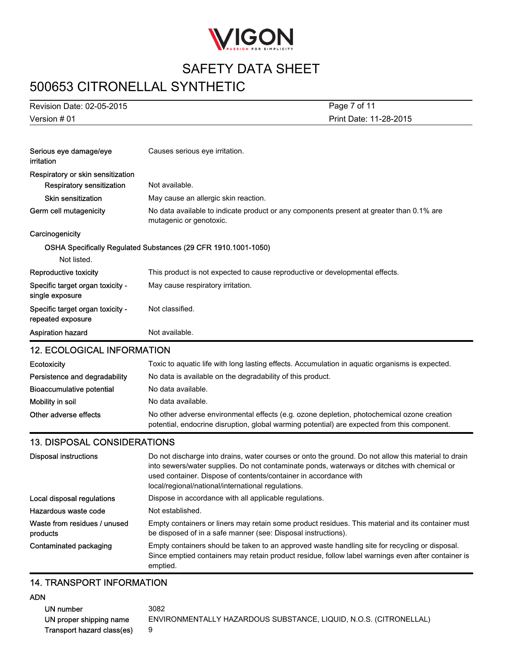

# 500653 CITRONELLAL SYNTHETIC

| Revision Date: 02-05-2015                             | Page 7 of 11                                                                                                        |
|-------------------------------------------------------|---------------------------------------------------------------------------------------------------------------------|
| Version # 01                                          | Print Date: 11-28-2015                                                                                              |
|                                                       |                                                                                                                     |
| Serious eye damage/eye<br>irritation                  | Causes serious eye irritation.                                                                                      |
| Respiratory or skin sensitization                     |                                                                                                                     |
| Respiratory sensitization                             | Not available.                                                                                                      |
| Skin sensitization                                    | May cause an allergic skin reaction.                                                                                |
| Germ cell mutagenicity                                | No data available to indicate product or any components present at greater than 0.1% are<br>mutagenic or genotoxic. |
| Carcinogenicity                                       |                                                                                                                     |
|                                                       | OSHA Specifically Regulated Substances (29 CFR 1910.1001-1050)                                                      |
| Not listed.                                           |                                                                                                                     |
| Reproductive toxicity                                 | This product is not expected to cause reproductive or developmental effects.                                        |
| Specific target organ toxicity -<br>single exposure   | May cause respiratory irritation.                                                                                   |
| Specific target organ toxicity -<br>repeated exposure | Not classified.                                                                                                     |
| Aspiration hazard                                     | Not available.                                                                                                      |
| <b>12. ECOLOGICAL INFORMATION</b>                     |                                                                                                                     |
|                                                       |                                                                                                                     |

| Ecotoxicity                   | Toxic to aquatic life with long lasting effects. Accumulation in aquatic organisms is expected.                                                                                            |
|-------------------------------|--------------------------------------------------------------------------------------------------------------------------------------------------------------------------------------------|
| Persistence and degradability | No data is available on the degradability of this product.                                                                                                                                 |
| Bioaccumulative potential     | No data available.                                                                                                                                                                         |
| Mobility in soil              | No data available.                                                                                                                                                                         |
| Other adverse effects         | No other adverse environmental effects (e.g. ozone depletion, photochemical ozone creation<br>potential, endocrine disruption, global warming potential) are expected from this component. |

### 13. DISPOSAL CONSIDERATIONS

| Disposal instructions                    | Do not discharge into drains, water courses or onto the ground. Do not allow this material to drain<br>into sewers/water supplies. Do not contaminate ponds, waterways or ditches with chemical or<br>used container. Dispose of contents/container in accordance with<br>local/regional/national/international regulations. |
|------------------------------------------|------------------------------------------------------------------------------------------------------------------------------------------------------------------------------------------------------------------------------------------------------------------------------------------------------------------------------|
| Local disposal regulations               | Dispose in accordance with all applicable regulations.                                                                                                                                                                                                                                                                       |
| Hazardous waste code                     | Not established.                                                                                                                                                                                                                                                                                                             |
| Waste from residues / unused<br>products | Empty containers or liners may retain some product residues. This material and its container must<br>be disposed of in a safe manner (see: Disposal instructions).                                                                                                                                                           |
| Contaminated packaging                   | Empty containers should be taken to an approved waste handling site for recycling or disposal.<br>Since emptied containers may retain product residue, follow label warnings even after container is<br>emptied.                                                                                                             |

#### 14. TRANSPORT INFORMATION

### ADN

UN number 3082 UN proper shipping name ENVIRONMENTALLY HAZARDOUS SUBSTANCE, LIQUID, N.O.S. (CITRONELLAL) Transport hazard class(es) 9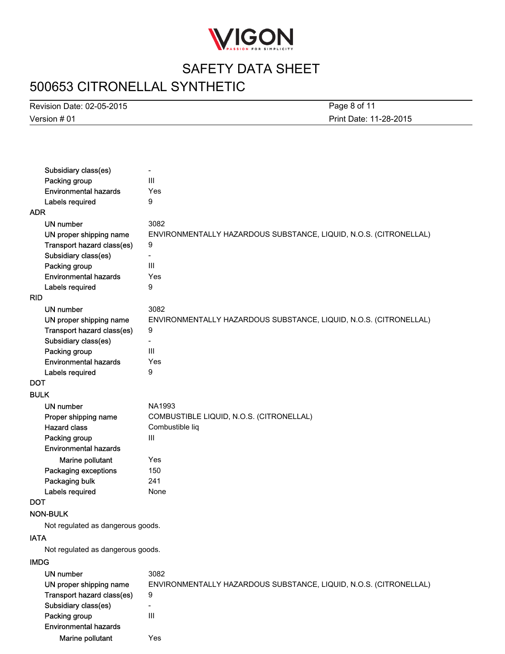

# 500653 CITRONELLAL SYNTHETIC

Version # 01 Revision Date: 02-05-2015

Print Date: 11-28-2015 Page 8 of 11

| Subsidiary class(es)              | $\overline{\phantom{0}}$                                          |
|-----------------------------------|-------------------------------------------------------------------|
| Packing group                     | III                                                               |
| <b>Environmental hazards</b>      | Yes                                                               |
| Labels required                   | 9                                                                 |
| <b>ADR</b>                        |                                                                   |
| <b>UN number</b>                  | 3082                                                              |
| UN proper shipping name           | ENVIRONMENTALLY HAZARDOUS SUBSTANCE, LIQUID, N.O.S. (CITRONELLAL) |
| Transport hazard class(es)        | 9                                                                 |
| Subsidiary class(es)              | ۳                                                                 |
| Packing group                     | III                                                               |
| <b>Environmental hazards</b>      | Yes                                                               |
| Labels required                   | 9                                                                 |
| <b>RID</b>                        |                                                                   |
| UN number                         | 3082                                                              |
| UN proper shipping name           | ENVIRONMENTALLY HAZARDOUS SUBSTANCE, LIQUID, N.O.S. (CITRONELLAL) |
| Transport hazard class(es)        | 9                                                                 |
| Subsidiary class(es)              | $\overline{\phantom{0}}$                                          |
| Packing group                     | III                                                               |
| <b>Environmental hazards</b>      | Yes                                                               |
| Labels required                   | 9                                                                 |
| DOT                               |                                                                   |
| <b>BULK</b>                       |                                                                   |
| UN number                         | NA1993                                                            |
| Proper shipping name              | COMBUSTIBLE LIQUID, N.O.S. (CITRONELLAL)                          |
| <b>Hazard class</b>               | Combustible liq                                                   |
| Packing group                     | $\mathsf{III}$                                                    |
| <b>Environmental hazards</b>      |                                                                   |
| Marine pollutant                  | Yes                                                               |
| Packaging exceptions              | 150                                                               |
| Packaging bulk                    | 241                                                               |
| Labels required                   | None                                                              |
| <b>DOT</b>                        |                                                                   |
| <b>NON-BULK</b>                   |                                                                   |
| Not regulated as dangerous goods. |                                                                   |
| <b>IATA</b>                       |                                                                   |
| Not regulated as dangerous goods. |                                                                   |
|                                   |                                                                   |
| <b>IMDG</b>                       |                                                                   |
| <b>UN number</b>                  | 3082                                                              |
| UN proper shipping name           | ENVIRONMENTALLY HAZARDOUS SUBSTANCE, LIQUID, N.O.S. (CITRONELLAL) |
| Transport hazard class(es)        | 9                                                                 |
| Subsidiary class(es)              | $\overline{\phantom{0}}$                                          |
| Packing group                     | $\mathbf{III}$                                                    |
| <b>Environmental hazards</b>      |                                                                   |

Marine pollutant Yes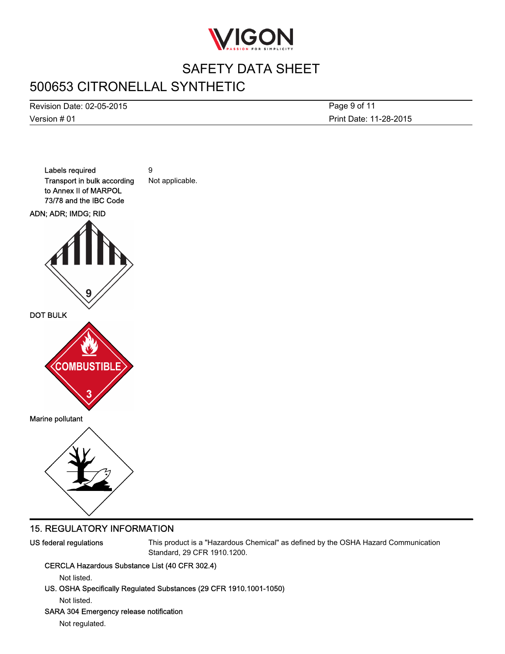

# 500653 CITRONELLAL SYNTHETIC

Version # 01 Revision Date: 02-05-2015 Print Date: 11-28-2015 Page 9 of 11



### 15. REGULATORY INFORMATION

US federal regulations This product is a "Hazardous Chemical" as defined by the OSHA Hazard Communication Standard, 29 CFR 1910.1200.

### CERCLA Hazardous Substance List (40 CFR 302.4)

Not listed.

US. OSHA Specifically Regulated Substances (29 CFR 1910.1001-1050)

Not listed.

#### SARA 304 Emergency release notification

Not regulated.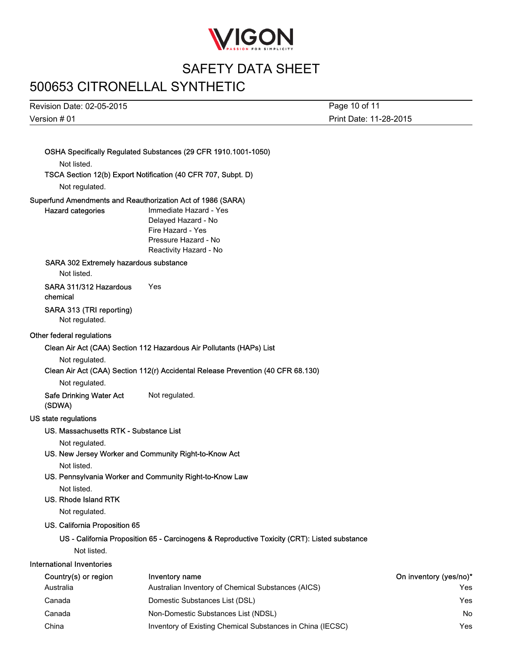

## 500653 CITRONELLAL SYNTHETIC

Version # 01 Revision Date: 02-05-2015 Page 10 of 11

OSHA Specifically Regulated Substances (29 CFR 1910.1001-1050) Not listed. TSCA Section 12(b) Export Notification (40 CFR 707, Subpt. D) Not regulated. Superfund Amendments and Reauthorization Act of 1986 (SARA) Hazard categories Immediate Hazard - Yes Delayed Hazard - No Fire Hazard - Yes Pressure Hazard - No Reactivity Hazard - No SARA 302 Extremely hazardous substance Not listed. SARA 311/312 Hazardous chemical Yes SARA 313 (TRI reporting) Not regulated. Other federal regulations Clean Air Act (CAA) Section 112 Hazardous Air Pollutants (HAPs) List Not regulated. Clean Air Act (CAA) Section 112(r) Accidental Release Prevention (40 CFR 68.130) Not regulated. Safe Drinking Water Act (SDWA) Not regulated. US state regulations US. Massachusetts RTK - Substance List Not regulated. US. New Jersey Worker and Community Right-to-Know Act Not listed. US. Pennsylvania Worker and Community Right-to-Know Law Not listed. US. Rhode Island RTK Not regulated. US. California Proposition 65 US - California Proposition 65 - Carcinogens & Reproductive Toxicity (CRT): Listed substance Not listed. International Inventories Country(s) or region Inventory name **Inventory name** Country(yes/no)<sup>\*</sup> Australia Australian Inventory of Chemical Substances (AICS) Yes Canada Domestic Substances List (DSL) Yes Canada Non-Domestic Substances List (NDSL) No China **Inventory of Existing Chemical Substances in China (IECSC)** Yes

Print Date: 11-28-2015